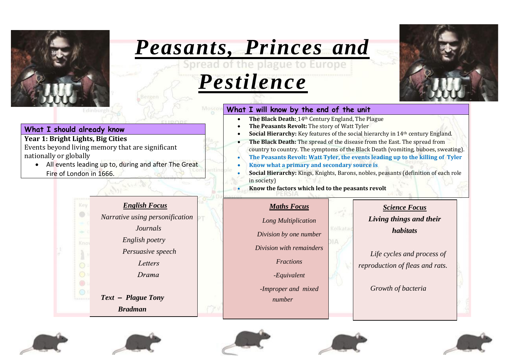

# *Peasants, Princes and*

# *Pestilence*



## **What I will know by the end of the unit**

- **The Black Death:** 14th Century England, The Plague
- **The Peasants Revolt:** The story of Watt Tyler
- **Social Hierarchy:** Key features of the social hierarchy in 14th century England.
- **The Black Death:** The spread of the disease from the East. The spread from country to country. The symptoms of the Black Death (vomiting, buboes, sweating). • **The Peasants Revolt: Watt Tyler, the events leading up to the killing of Tyler**
- **Know what a primary and secondary source is**
- **Social Hierarchy:** Kings, Knights, Barons, nobles, peasants (definition of each role in society)

• **Know the factors which led to the peasants revolt**

## *Maths Focus*

*Long Multiplication*

*Division by one number*

*Division with remainders*

*Fractions*

*-Equivalent*

*-Improper and mixed* 

*number*

# *Science Focus*

*Living things and their habitats*

*Life cycles and process of reproduction of fleas and rats.*

*Growth of bacteria*

## **What I should already know**

## **Year 1: Bright Lights, Big Cities**

Events beyond living memory that are significant nationally or globally

• All events leading up to, during and after The Great Fire of London in 1666.